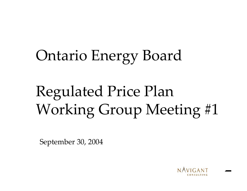# Ontario Energy Board

# Regulated Price Plan Working Group Meeting #1

September 30, 2004

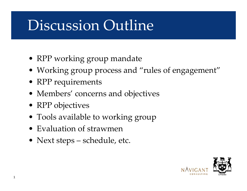# Discussion Outline

- RPP working group mandate
- Working group process and "rules of engagement"
- $\bullet$  RPP requirements
- Members' concerns and objectives
- RPP objectives
- Tools available to working group
- •Evaluation of strawmen
- Next steps schedule, etc.



1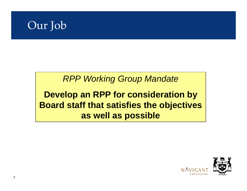

#### *RPP Working Group Mandate*

#### **Develop an RPP for consideration by Board staff that satisfies the objectives as well as possible**



2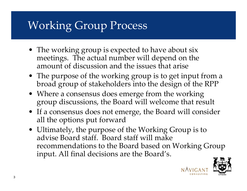## Working Group Process

- The working group is expected to have about six meetings. The actual number will depend on the amount of discussion and the issues that arise
- The purpose of the working group is to get input from a broad group of stakeholders into the design of the RPP
- Where a consensus does emerge from the working group discussions, the Board will welcome that result
- If a consensus does not emerge, the Board will consider all the options put forward
- Ultimately, the purpose of the Working Group is to advise Board staff. Board staff will make recommendations to the Board based on Working Group input. All final decisions are the Board's.

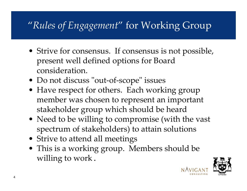#### "*Rules of Engagement*" for Working Group

- Strive for consensus. If consensus is not possible, present well defined options for Board consideration.
- Do not discuss "out-of-scope" issues
- Have respect for others. Each working group member was chosen to represent an important stakeholder group which should be heard
- Need to be willing to compromise (with the vast spectrum of stakeholders) to attain solutions
- Strive to attend all meetings
- This is a working group. Members should be willing to work.

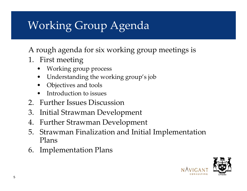## Working Group Agenda

A rough agenda for six working group meetings is

- 1. First meeting
	- •Working group process
	- •Understanding the working group's job
	- •Objectives and tools
	- •Introduction to issues
- 2. Further Issues Discussion
- 3. Initial Strawman Development
- 4.Further Strawman Development
- 5. Strawman Finalization and Initial Implementation Plans
- 6. Implementation Plans

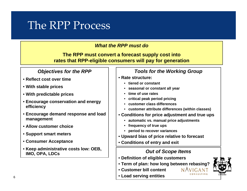#### The RPP Process

#### *What the RPP must do*

**The RPP must convert a forecast supply cost into rates that RPP-eligible consumers will pay for generation** 

#### *Objectives for the RPP*

- **Reflect cost over time**
- **With stable prices**
- **With predictable prices**
- **Encourage conservation and energy efficiency**
- **Encourage demand response and load management**
- **Allow customer choice**
- **Support smart meters**
- **Consumer Acceptance**
- **Keep administrative costs low: OEB, IMO, OPA, LDCs** *Out of Scope Items*

#### *Tools for the Working Group*

#### • **Rate structure:**

- **tiered or constant**
- •**seasonal or constant all year**
- •**time of use rates**
- •**critical peak period pricing**
- •**customer class differences**
- **customer attribute differences (within classes)**
- **Conditions for price adjustment and true ups**
	- •**automatic vs. manual price adjustments**
	- •**frequency of true ups**
	- •**period to recover variances**
- **Upward bias of price relative to forecast**
- **Conditions of entry and exit**

- **Definition of eligible customers**
- **Term of plan: how long between rebasing?**
- **Customer bill content**
- **Load serving entities**



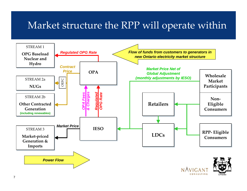#### Market structure the RPP will operate within

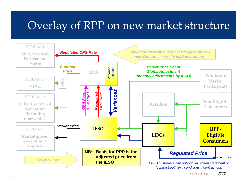#### Overlay of RPP on new market structure

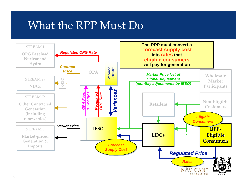#### What the RPP Must Do

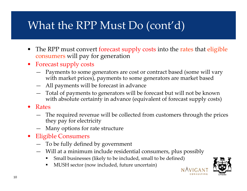## What the RPP Must Do (cont'd)

- The RPP must convert forecast supply costs into the rates that eligible consumers will pay for generation
- Forecast supply costs
	- Payments to some generators are cost or contract based (some will vary with market prices), payments to some generators are market based
	- All payments will be forecast in advance
	- Total of payments to generators will be forecast but will n ot be known with absolute certainty in advance (equivalent of forecast supply costs)
- Rates
	- The required revenue will be collected from customers through the prices they pay for electricity
	- Many options for rate structure
- Eligible Consumers
	- To be fully defined by government
	- Will at a minimum include residential con sumers, plus possibly
		- Small businesses (li kely to b e included, s mall to be d efined)
		- п MUSH s ector (now included, future uncertain)

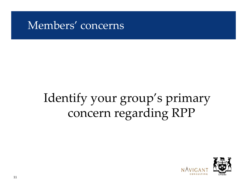#### Members' concerns

# Identify your group's primary concern regarding RPP

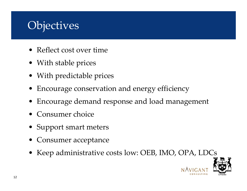#### **Objectives**

- Reflect cost over time
- With stable prices
- With predictable prices
- •Encourage conservation and energy efficiency
- •Encourage demand response and load management
- •Consumer choice
- Support smart meters
- Consumer acceptance
- Keep administrative costs low: OEB, IMO, OPA, LDCs

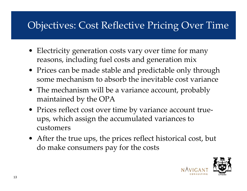#### Objectives: Cost Reflective Pricing Over Time

- Electricity generation costs vary over time for many reasons, including fuel costs and generation mix
- Prices can be made stable and predictable only through some mechanism to absorb the inevitable cost variance
- The mechanism will be a variance account, probably maintained by the OPA
- Prices reflect cost over time by variance account trueups, which assign the accumulated variances to customers
- After the true ups, the prices reflect historical cost, but do make consumers pay for the costs

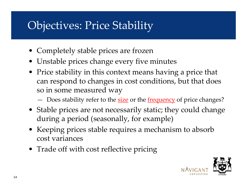#### Objectives: Price Stability

- Completely stable prices are frozen
- Unstable prices change every five minutes
- Price stability in this context means having a price that can respond to changes in cost conditions, but that does so in some measured way
	- Does stability refer to the <u>size</u> or the <u>frequency</u> of price changes?
- Stable prices are not necessarily static; they could change during a period (seasonally, for example)
- Keeping prices stable requires a mechanism to absorb cost variances
- Trade off with cost reflective pricing

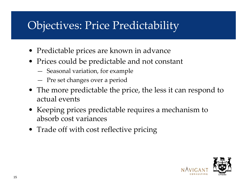### Objectives: Price Predictability

- Predictable prices are known in advance
- Prices could be predictable and not constant
	- Seasonal variation, for example
	- Pre set changes over a period
- The more predictable the price, the less it can respond to actual events
- Keeping prices predictable requires a mechanism to absorb cost variances
- Trade off with cost reflective pricing

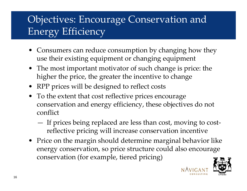#### Objectives: Encourage Conservation and Energy Efficiency

- Consumers can reduce consumption by changing how they use their existing equipment or changing equipment
- The most important motivator of s uch change is price: the higher the price, the greater the incentive to change
- RPP prices will be designed to reflect costs
- To the extent that cost reflective prices encourage conservation and energy efficiency, these objectives do not conflict
	- If prices being replaced are less than cost, moving to costreflective pricing will increase conservation incentive
- Price on the margin should determine marginal behavior like energy conserva<sup>t</sup> ion, so price structure could also encourage conservation (for example, tiered pricing)

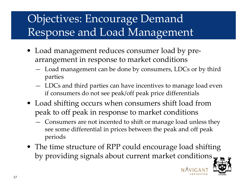## Objectives: Encourage Demand Response and Load Management

- Load management reduces consumer load by prearrangement in response to market conditions
	- Load management can be done by consumers, LDCs or by third parties
	- LDCs and third parties can have incentives to manage load even if consumers do not see peak/off peak price differentials
- Load shifting occurs when consumers shift load from peak to off peak in response to market conditions
	- Consumers are not incented to shift or manage load unless they see some differential in prices between the peak and off peak periods
- The time structure of RPP could encourage load shifting by providing signals about current market conditions

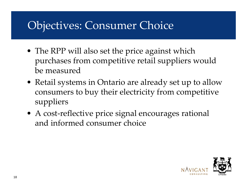#### Objectives: Consumer Choice

- The RPP will also set the price against which purchases from competitive retail suppliers would be measured
- Retail systems in Ontario are already set up to allow consumers to buy their electricity from competitive suppliers
- A cost-reflective price signal encourages rational and informed consumer choice

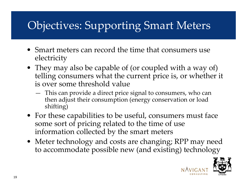## Objectives: Supporting Smart Meters

- Smart meters can record the time that consumers use electricity
- They may also be capable of (or coupled with a way of) telling consumers what the current price is, or whether it is over some threshold value
	- This can provide a direct price signal to consumers, who can then adjust their consumption (energy conservation or load shifting)
- For these capabilities to be useful, consumers must face some sort of pricing related to the time of use information collected by the smart meters
- Meter technology and costs are changing; RPP may need to accommodate possible new (and existing) technology

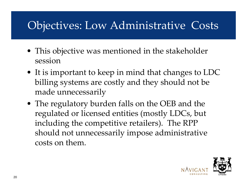### Objectives: Low Administrative Costs

- This objective was mentioned in the stakeholder session
- It is important to keep in mind that changes to LDC billing systems are costly and they should not be made unnecessarily
- The regulatory burden falls on the OEB and the regulated or licensed entities (mostly LDCs, but including the competitive retailers). The RPP should not unnecessarily impose administrative costs on them.

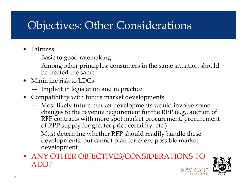#### Objectives: Other Considerations

- •Fairness
	- Basic to good ratemaking
	- Among other principles: consumers in the same situation should be treated the same
- Minimize risk to LDCs
	- Implicit in legislation and in practice
- Compatibility with future market developments
	- Most likely future market developments would involve some changes to the revenue requirement for the RPP (e.g., auction of RFP contracts with more spot market procurement, procurement of RPP supply for g reater price certainty, etc.)
	- Must determine whether RPP should readily handle these developments, but cannot plan for every possible market development
- ANY OTHER OBJECTIVES/CONSIDERATIONS TO ADD?

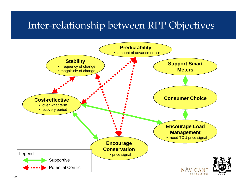#### Inter-relationship between RPP Objectives

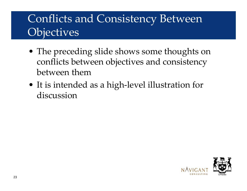#### Conflicts and Consistency Between **Objectives**

- The preceding slide shows some thoughts on conflicts between objectives and consistency between them
- It is intended as a high-level illustration for discussion

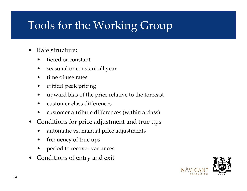## Tools for the Working Group

- •Rate structure:
	- •tiered or constant
	- •season al or constant all year
	- •time of use rates
	- •critical peak pricing
	- •upward bias of the price relative to the forecast
	- •customer class differences
	- •customer attribute differences (within a class)
- •Conditions for price adjustment and true ups
	- •automatic vs. manual price adjustments
	- •frequency of true ups
	- •period to recover variances
- •Conditions of entry and exit

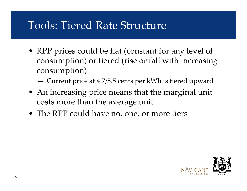#### Tools: Tiered Rate Structure

- RPP prices could be flat (constant for any level of consumption) or tiered (rise or fall with increasing consumption)
	- Current price at 4.7/5.5 cents per kWh is tiered upward
- An increasing price means that the marginal unit costs more than the average unit
- The RPP could have no, one, or more tiers

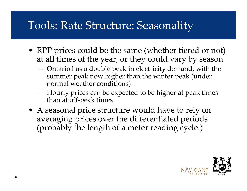#### Tools: Rate Structure: Seasonality

- RPP prices could be the same (whether tiered or not) at all times of the year, or they could vary by season
	- Ontario has a double peak in electricity demand, with the summer peak now higher than the winter peak (under normal weather conditions)
	- Hourly prices can be expected to be higher at peak times than at off-p eak times
- A seasonal price structure would have to rely on averaging prices over the differentiated periods (probably the length of a meter reading cycle.)

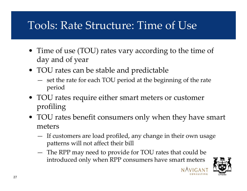#### Tools: Rate Structure: Time of Use

- Time of use (TOU) rates vary according to the time of day and of year
- TOU rates can be stable and predictable
	- set the rate for each TOU period at the beginning of the rate period
- TOU rates require either smart meters or customer profiling
- TOU rates benefit consumers only when they have smart meters
	- If customers are load profiled, any change in their own usage pa<sup>t</sup> terns will not affect their bill
	- The RPP may need to provide for TOU rates that could be introduced only when RPP consumers have smart meters

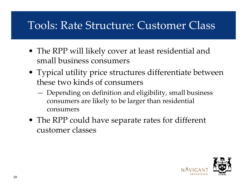#### Tools: Rate Structure: Customer Class

- The RPP will likely cover at least residential and small business consumers
- Typical utility price structures differentiate between these two kinds of consumers
	- Depending on definition and eligibility, small business consumers are likely to be larger than residential consumers
- The RPP could have separate rates for different customer classes

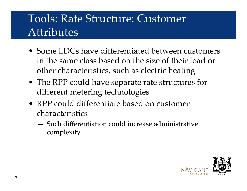#### Tools: Rate Structure: Customer Attributes

- Some LDCs have differentiated between customers in the same class based on the size of their load or other characteristics, such as electric heating
- The RPP could have separate rate structures for different metering technologies
- •RPP could differentiate based on customer characteristics
	- —Such differentiation could increase administrative complexity

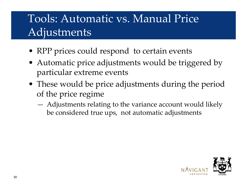### Tools: Automatic vs. Manual Price Adjustments

- RPP prices could respond to certain events
- Automatic price adjustments would be triggered by particular extreme events
- These would be price adjustments during the period of the price regime
	- Adjustments relating to the variance account would likely be considered true ups, not automatic adjustments

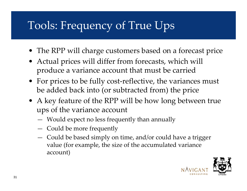## Tools: Frequency of True Ups

- The RPP will charge customers based on a forecast price
- Actual prices will differ from forecasts, which will produce a variance account that must be carried
- For prices to be fully cost-reflective, the variances must be added back into (or subtracted from) the price
- A key feature of the RPP will be how long between true ups of the variance account
	- Would expect no less frequently than annually
	- Could be more frequently
	- Could be based simply on time, and/or could have a trigger value (for example, the size of the accumulated variance account)

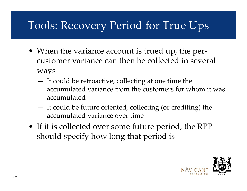## Tools: Recovery Period for True Ups

- When the variance account is trued up, the percustomer variance can then be collected in several ways
	- It could be retroactive, collecting at one time the accumulated variance from the customers for whom it was accumulated
	- It could be future oriented, collecting (or crediting) the accumulated variance over time
- If it is collected over some future period, the RPP should specify how long that period is

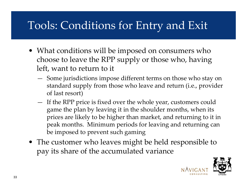### Tools: Conditions for Entry and Exit

- What conditions will be imposed on consumers who choose to leave the RPP supply or those who, having left, want to return to it
	- **All Contracts**  Some jurisdictions impose different terms on those who stay on standard supply from those who leave and return (i.e., provider of last resort)
	- If the RPP price is fixed over the whole year, customers could game the plan by leaving it in the shoulder months, when its prices are likely to be higher than market, and returning to it in peak months. Minimum periods for leaving and returning can be imposed to prevent such gaming
- The customer who leaves might be held responsible to pay its share of the accumulated variance

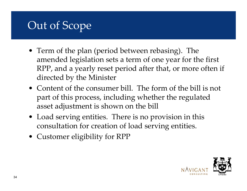## Out of Scope

- Term of the plan (period between rebasing). The amended legislation sets a term of one year for the first RPP, and a yearly reset period after that, or more often if directed by the Minister
- Content of the consumer bill. The form of the bill is not part of this process, including whether the regulated asset adjustment is shown on the bill
- Load serving entities. There is no provision in this consultation for creation of load serving entities.
- Customer eligibility for RPP



34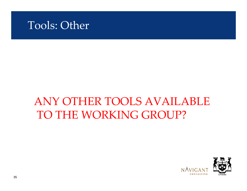

#### ANY OTHER TOOLS AVAILABLE TO THE WORKING GROUP?



35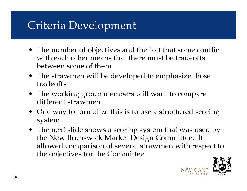#### Criteria Development

- The number of objectives and the fact that some conflict with each other means that there must be tradeoffs between some of them
- The strawmen will be developed to emphasize those tradeoffs
- The working group members will want to compare different strawmen
- One way to formalize this is to use a structured scoring system
- The next slide shows a scoring system that was used by the New Brunswick Market Design Committee. It allowed comparison of several strawmen with respect to the objectives for the Committee